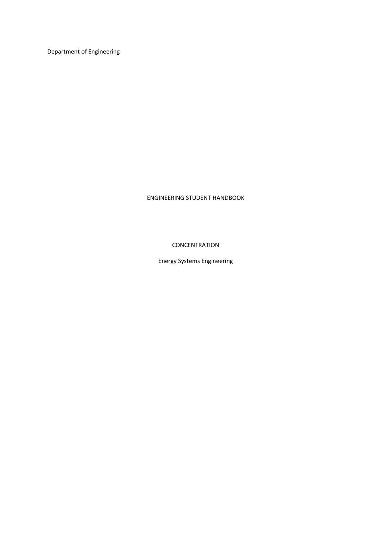Department of Engineering

ENGINEERING STUDENT HANDBOOK

**CONCENTRATION** 

Energy Systems Engineering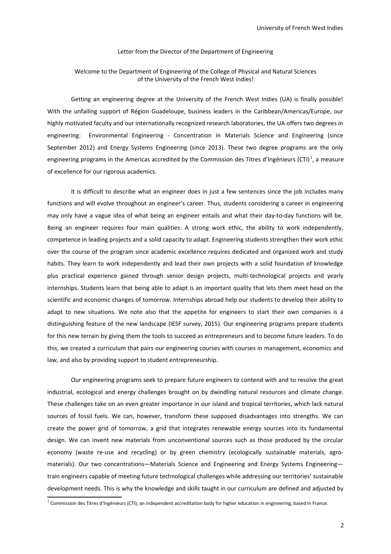#### Letter from the Director of the Department of Engineering

### Welcome to the Department of Engineering of the College of Physical and Natural Sciences of the University of the French West Indies!

Getting an engineering degree at the University of the French West Indies (UA) is finally possible! With the unfailing support of Région Guadeloupe, business leaders in the Caribbean/Americas/Europe, our highly motivated faculty and our internationally recognized research laboratories, the UA offers two degrees in engineering: Environmental Engineering - Concentration in Materials Science and Engineering (since September 2012) and Energy Systems Engineering (since 2013). These two degree programs are the only engineering programs in the Americas accredited by the Commission des Titres d'Ingénieurs (CTI)<sup>[1](#page-1-0)</sup>, a measure of excellence for our rigorous academics.

It is difficult to describe what an engineer does in just a few sentences since the job includes many functions and will evolve throughout an engineer's career. Thus, students considering a career in engineering may only have a vague idea of what being an engineer entails and what their day-to-day functions will be. Being an engineer requires four main qualities: A strong work ethic, the ability to work independently, competence in leading projects and a solid capacity to adapt. Engineering students strengthen their work ethic over the course of the program since academic excellence requires dedicated and organized work and study habits. They learn to work independently and lead their own projects with a solid foundation of knowledge plus practical experience gained through senior design projects, multi-technological projects and yearly internships. Students learn that being able to adapt is an important quality that lets them meet head on the scientific and economic changes of tomorrow. Internships abroad help our students to develop their ability to adapt to new situations. We note also that the appetite for engineers to start their own companies is a distinguishing feature of the new landscape (IESF survey, 2015). Our engineering programs prepare students for this new terrain by giving them the tools to succeed as entrepreneurs and to become future leaders. To do this, we created a curriculum that pairs our engineering courses with courses in management, economics and law, and also by providing support to student entrepreneurship.

Our engineering programs seek to prepare future engineers to contend with and to resolve the great industrial, ecological and energy challenges brought on by dwindling natural resources and climate change. These challenges take on an even greater importance in our island and tropical territories, which lack natural sources of fossil fuels. We can, however, transform these supposed disadvantages into strengths. We can create the power grid of tomorrow, a grid that integrates renewable energy sources into its fundamental design. We can invent new materials from unconventional sources such as those produced by the circular economy (waste re-use and recycling) or by green chemistry (ecologically sustainable materials, agromaterials). Our two concentrations—Materials Science and Engineering and Energy Systems Engineering train engineers capable of meeting future technological challenges while addressing our territories' sustainable development needs. This is why the knowledge and skills taught in our curriculum are defined and adjusted by

<span id="page-1-0"></span><sup>&</sup>lt;sup>1</sup> Commission des Titres d'Ingénieurs (CTI), an independent accreditation body for higher education in engineering, based in France.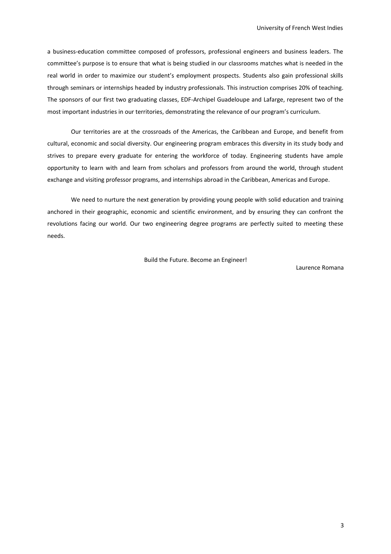a business-education committee composed of professors, professional engineers and business leaders. The committee's purpose is to ensure that what is being studied in our classrooms matches what is needed in the real world in order to maximize our student's employment prospects. Students also gain professional skills through seminars or internships headed by industry professionals. This instruction comprises 20% of teaching. The sponsors of our first two graduating classes, EDF-Archipel Guadeloupe and Lafarge, represent two of the most important industries in our territories, demonstrating the relevance of our program's curriculum.

Our territories are at the crossroads of the Americas, the Caribbean and Europe, and benefit from cultural, economic and social diversity. Our engineering program embraces this diversity in its study body and strives to prepare every graduate for entering the workforce of today. Engineering students have ample opportunity to learn with and learn from scholars and professors from around the world, through student exchange and visiting professor programs, and internships abroad in the Caribbean, Americas and Europe.

We need to nurture the next generation by providing young people with solid education and training anchored in their geographic, economic and scientific environment, and by ensuring they can confront the revolutions facing our world. Our two engineering degree programs are perfectly suited to meeting these needs.

Build the Future. Become an Engineer!

Laurence Romana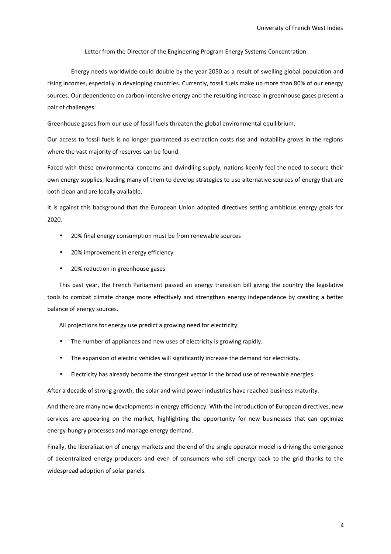Letter from the Director of the Engineering Program Energy Systems Concentration

Energy needs worldwide could double by the year 2050 as a result of swelling global population and rising incomes, especially in developing countries. Currently, fossil fuels make up more than 80% of our energy sources. Our dependence on carbon-intensive energy and the resulting increase in greenhouse gases present a pair of challenges:

Greenhouse gases from our use of fossil fuels threaten the global environmental equilibrium.

Our access to fossil fuels is no longer guaranteed as extraction costs rise and instability grows in the regions where the vast majority of reserves can be found.

Faced with these environmental concerns and dwindling supply, nations keenly feel the need to secure their own energy supplies, leading many of them to develop strategies to use alternative sources of energy that are both clean and are locally available.

It is against this background that the European Union adopted directives setting ambitious energy goals for 2020.

- 20% final energy consumption must be from renewable sources
- 20% improvement in energy efficiency
- 20% reduction in greenhouse gases

This past year, the French Parliament passed an energy transition bill giving the country the legislative tools to combat climate change more effectively and strengthen energy independence by creating a better balance of energy sources.

All projections for energy use predict a growing need for electricity:

- The number of appliances and new uses of electricity is growing rapidly.
- The expansion of electric vehicles will significantly increase the demand for electricity.
- Electricity has already become the strongest vector in the broad use of renewable energies.

After a decade of strong growth, the solar and wind power industries have reached business maturity.

And there are many new developments in energy efficiency. With the introduction of European directives, new services are appearing on the market, highlighting the opportunity for new businesses that can optimize energy-hungry processes and manage energy demand.

Finally, the liberalization of energy markets and the end of the single operator model is driving the emergence of decentralized energy producers and even of consumers who sell energy back to the grid thanks to the widespread adoption of solar panels.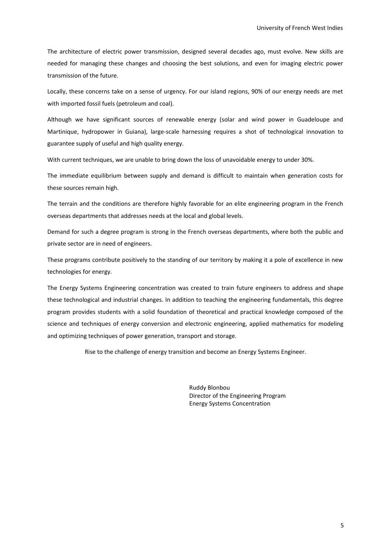The architecture of electric power transmission, designed several decades ago, must evolve. New skills are needed for managing these changes and choosing the best solutions, and even for imaging electric power transmission of the future.

Locally, these concerns take on a sense of urgency. For our island regions, 90% of our energy needs are met with imported fossil fuels (petroleum and coal).

Although we have significant sources of renewable energy (solar and wind power in Guadeloupe and Martinique, hydropower in Guiana), large-scale harnessing requires a shot of technological innovation to guarantee supply of useful and high quality energy.

With current techniques, we are unable to bring down the loss of unavoidable energy to under 30%.

The immediate equilibrium between supply and demand is difficult to maintain when generation costs for these sources remain high.

The terrain and the conditions are therefore highly favorable for an elite engineering program in the French overseas departments that addresses needs at the local and global levels.

Demand for such a degree program is strong in the French overseas departments, where both the public and private sector are in need of engineers.

These programs contribute positively to the standing of our territory by making it a pole of excellence in new technologies for energy.

The Energy Systems Engineering concentration was created to train future engineers to address and shape these technological and industrial changes. In addition to teaching the engineering fundamentals, this degree program provides students with a solid foundation of theoretical and practical knowledge composed of the science and techniques of energy conversion and electronic engineering, applied mathematics for modeling and optimizing techniques of power generation, transport and storage.

Rise to the challenge of energy transition and become an Energy Systems Engineer.

Ruddy Blonbou Director of the Engineering Program Energy Systems Concentration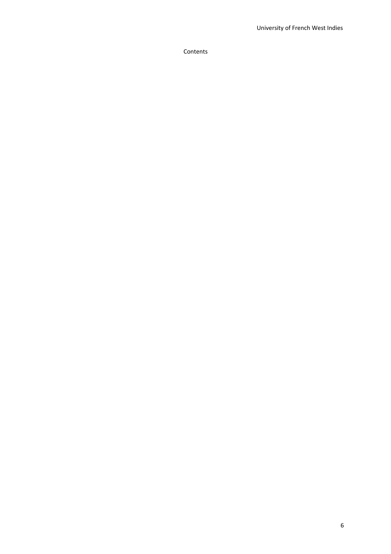Contents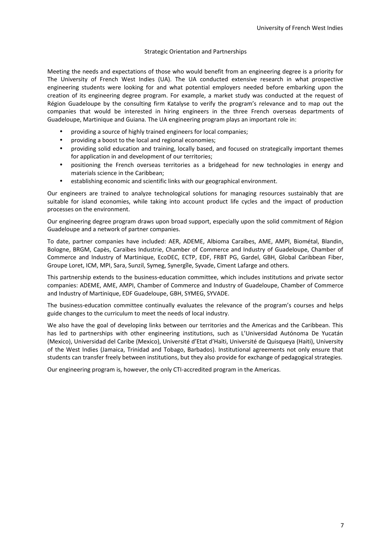### Strategic Orientation and Partnerships

Meeting the needs and expectations of those who would benefit from an engineering degree is a priority for The University of French West Indies (UA). The UA conducted extensive research in what prospective engineering students were looking for and what potential employers needed before embarking upon the creation of its engineering degree program. For example, a market study was conducted at the request of Région Guadeloupe by the consulting firm Katalyse to verify the program's relevance and to map out the companies that would be interested in hiring engineers in the three French overseas departments of Guadeloupe, Martinique and Guiana. The UA engineering program plays an important role in:

- providing a source of highly trained engineers for local companies;
- providing a boost to the local and regional economies;
- providing solid education and training, locally based, and focused on strategically important themes for application in and development of our territories;
- positioning the French overseas territories as a bridgehead for new technologies in energy and materials science in the Caribbean;
- establishing economic and scientific links with our geographical environment.

Our engineers are trained to analyze technological solutions for managing resources sustainably that are suitable for island economies, while taking into account product life cycles and the impact of production processes on the environment.

Our engineering degree program draws upon broad support, especially upon the solid commitment of Région Guadeloupe and a network of partner companies.

To date, partner companies have included: AER, ADEME, Albioma Caraïbes, AME, AMPI, Biométal, Blandin, Bologne, BRGM, Capès, Caraïbes Industrie, Chamber of Commerce and Industry of Guadeloupe, Chamber of Commerce and Industry of Martinique, EcoDEC, ECTP, EDF, FRBT PG, Gardel, GBH, Global Caribbean Fiber, Groupe Loret, ICM, MPI, Sara, Sunzil, Symeg, Synergîle, Syvade, Ciment Lafarge and others.

This partnership extends to the business-education committee, which includes institutions and private sector companies: ADEME, AME, AMPI, Chamber of Commerce and Industry of Guadeloupe, Chamber of Commerce and Industry of Martinique, EDF Guadeloupe, GBH, SYMEG, SYVADE.

The business-education committee continually evaluates the relevance of the program's courses and helps guide changes to the curriculum to meet the needs of local industry.

We also have the goal of developing links between our territories and the Americas and the Caribbean. This has led to partnerships with other engineering institutions, such as L'Universidad Autónoma De Yucatán (Mexico), Universidad del Caribe (Mexico), Université d'Etat d'Haïti, Université de Quisqueya (Haiti), University of the West Indies (Jamaica, Trinidad and Tobago, Barbados). Institutional agreements not only ensure that students can transfer freely between institutions, but they also provide for exchange of pedagogical strategies.

Our engineering program is, however, the only CTI-accredited program in the Americas.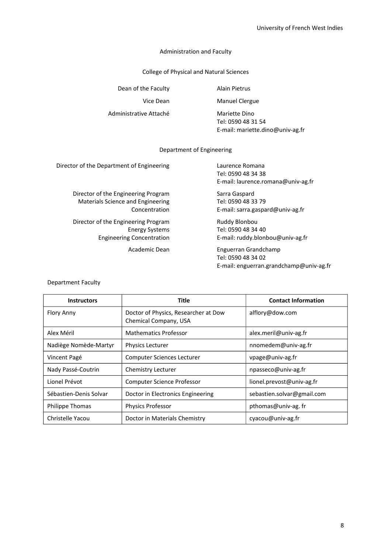### Administration and Faculty

College of Physical and Natural Sciences

Dean of the Faculty **Alain Pietrus** 

Administrative Attaché Mariette Dino

Vice Dean Manuel Clergue

Tel: 0590 48 31 54 E-mail: mariette.dino@univ-ag.fr

### Department of Engineering

Director of the Department of Engineering Laurence Romana

Director of the Engineering Program Sarra Gaspard Materials Science and Engineering<br>Concentration E-mail: sarra.gaspa

Director of the Engineering Program Ruddy Blonbou

Tel: 0590 48 34 38 E-mail: laurence.romana@univ-ag.fr

E-mail: sarra.gaspard@univ-ag.fr

Energy Systems Tel: 0590 48 34 40 Engineering Concentration **E-mail:** ruddy.blonbou@univ-ag.fr

> Academic Dean Enguerran Grandchamp Tel: 0590 48 34 02 E-mail: enguerran.grandchamp@univ-ag.fr

| <b>Instructors</b>     | <b>Title</b>                                                  | <b>Contact Information</b> |
|------------------------|---------------------------------------------------------------|----------------------------|
| <b>Flory Anny</b>      | Doctor of Physics, Researcher at Dow<br>Chemical Company, USA | alflory@dow.com            |
| Alex Méril             | <b>Mathematics Professor</b>                                  | alex.meril@univ-ag.fr      |
| Nadiège Nomède-Martyr  | <b>Physics Lecturer</b>                                       | nnomedem@univ-ag.fr        |
| Vincent Pagé           | <b>Computer Sciences Lecturer</b>                             | vpage@univ-ag.fr           |
| Nady Passé-Coutrin     | Chemistry Lecturer                                            | npasseco@univ-ag.fr        |
| Lionel Prévot          | <b>Computer Science Professor</b>                             | lionel.prevost@univ-ag.fr  |
| Sébastien-Denis Solvar | Doctor in Electronics Engineering                             | sebastien.solvar@gmail.com |
| <b>Philippe Thomas</b> | <b>Physics Professor</b>                                      | pthomas@univ-ag.fr         |
| Christelle Yacou       | Doctor in Materials Chemistry                                 | cyacou@univ-ag.fr          |

### Department Faculty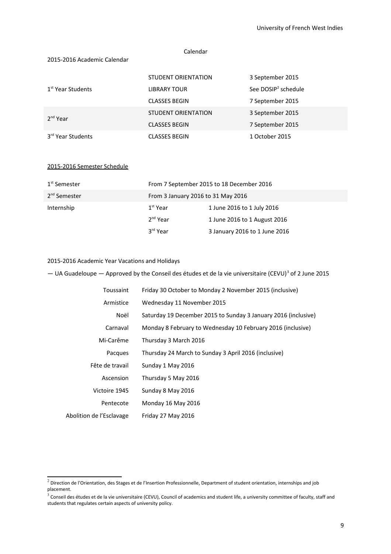### Calendar

### 2015-2016 Academic Calendar

|                               | STUDENT ORIENTATION        | 3 September 2015                |
|-------------------------------|----------------------------|---------------------------------|
| 1 <sup>st</sup> Year Students | <b>LIBRARY TOUR</b>        | See DOSIP <sup>2</sup> schedule |
|                               | <b>CLASSES BEGIN</b>       | 7 September 2015                |
| 2 <sup>nd</sup> Year          | <b>STUDENT ORIENTATION</b> | 3 September 2015                |
|                               | <b>CLASSES BEGIN</b>       | 7 September 2015                |
| 3 <sup>rd</sup> Year Students | <b>CLASSES BEGIN</b>       | 1 October 2015                  |

### 2015-2016 Semester Schedule

| 1 <sup>st</sup> Semester | From 7 September 2015 to 18 December 2016 |                               |  |  |  |  |
|--------------------------|-------------------------------------------|-------------------------------|--|--|--|--|
| 2 <sup>nd</sup> Semester | From 3 January 2016 to 31 May 2016        |                               |  |  |  |  |
| Internship               | $1st$ Year                                | 1 June 2016 to 1 July 2016    |  |  |  |  |
|                          | $2nd$ Year                                | 1 June 2016 to 1 August 2016  |  |  |  |  |
|                          | 3 <sup>rd</sup> Year                      | 3 January 2016 to 1 June 2016 |  |  |  |  |

### 2015-2016 Academic Year Vacations and Holidays

 $-$  UA Guadeloupe  $-$  Approved by the Conseil des études et de la vie universitaire (CEVU)<sup>[3](#page-8-1)</sup> of 2 June 2015

| Friday 30 October to Monday 2 November 2015 (inclusive)        |
|----------------------------------------------------------------|
| Wednesday 11 November 2015                                     |
| Saturday 19 December 2015 to Sunday 3 January 2016 (inclusive) |
| Monday 8 February to Wednesday 10 February 2016 (inclusive)    |
| Thursday 3 March 2016                                          |
| Thursday 24 March to Sunday 3 April 2016 (inclusive)           |
| Sunday 1 May 2016                                              |
| Thursday 5 May 2016                                            |
| Sunday 8 May 2016                                              |
| Monday 16 May 2016                                             |
| Friday 27 May 2016                                             |
|                                                                |

<span id="page-8-0"></span> $^2$  Direction de l'Orientation, des Stages et de l'Insertion Professionnelle, Department of student orientation, internships and job placement.

<span id="page-8-1"></span> $^3$  Conseil des études et de la vie universitaire (CEVU), Council of academics and student life, a university committee of faculty, staff and students that regulates certain aspects of university policy.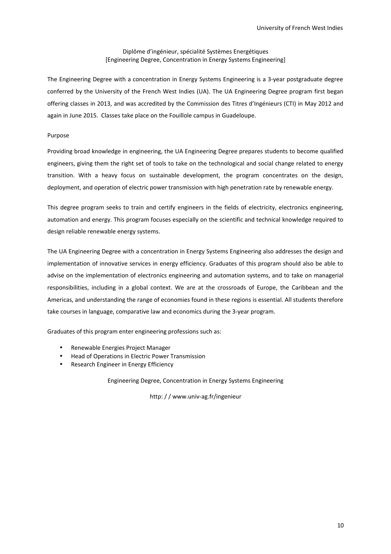### Diplôme d'ingénieur, spécialité Systèmes Energétiques [Engineering Degree, Concentration in Energy Systems Engineering]

The Engineering Degree with a concentration in Energy Systems Engineering is a 3-year postgraduate degree conferred by the University of the French West Indies (UA). The UA Engineering Degree program first began offering classes in 2013, and was accredited by the Commission des Titres d'Ingénieurs (CTI) in May 2012 and again in June 2015. Classes take place on the Fouillole campus in Guadeloupe.

### Purpose

Providing broad knowledge in engineering, the UA Engineering Degree prepares students to become qualified engineers, giving them the right set of tools to take on the technological and social change related to energy transition. With a heavy focus on sustainable development, the program concentrates on the design, deployment, and operation of electric power transmission with high penetration rate by renewable energy.

This degree program seeks to train and certify engineers in the fields of electricity, electronics engineering, automation and energy. This program focuses especially on the scientific and technical knowledge required to design reliable renewable energy systems.

The UA Engineering Degree with a concentration in Energy Systems Engineering also addresses the design and implementation of innovative services in energy efficiency. Graduates of this program should also be able to advise on the implementation of electronics engineering and automation systems, and to take on managerial responsibilities, including in a global context. We are at the crossroads of Europe, the Caribbean and the Americas, and understanding the range of economies found in these regions is essential. All students therefore take courses in language, comparative law and economics during the 3-year program.

Graduates of this program enter engineering professions such as:

- Renewable Energies Project Manager
- Head of Operations in Electric Power Transmission
- Research Engineer in Energy Efficiency

Engineering Degree, Concentration in Energy Systems Engineering

http: / / www.univ-ag.fr/ingenieur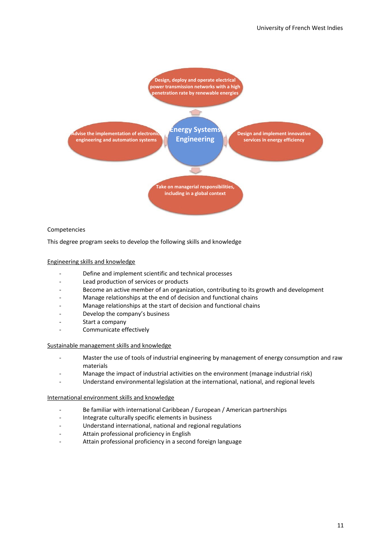

### Competencies

This degree program seeks to develop the following skills and knowledge

### Engineering skills and knowledge

- Define and implement scientific and technical processes
- Lead production of services or products
- Become an active member of an organization, contributing to its growth and development
- Manage relationships at the end of decision and functional chains
- Manage relationships at the start of decision and functional chains
- Develop the company's business
- Start a company
- Communicate effectively

### Sustainable management skills and knowledge

- Master the use of tools of industrial engineering by management of energy consumption and raw materials
- Manage the impact of industrial activities on the environment (manage industrial risk)
- Understand environmental legislation at the international, national, and regional levels

#### International environment skills and knowledge

- Be familiar with international Caribbean / European / American partnerships
- Integrate culturally specific elements in business
- Understand international, national and regional regulations
- Attain professional proficiency in English
- Attain professional proficiency in a second foreign language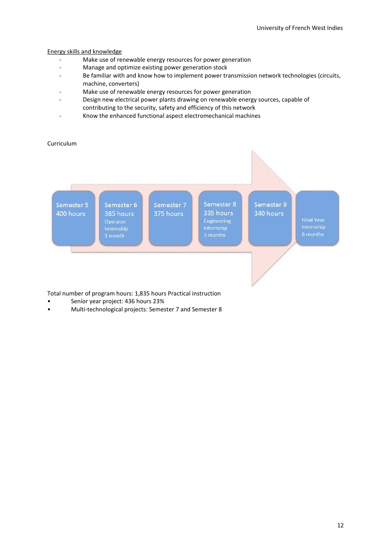### Energy skills and knowledge

- Make use of renewable energy resources for power generation
- Manage and optimize existing power generation stock
- Be familiar with and know how to implement power transmission network technologies (circuits, machine, converters)
- Make use of renewable energy resources for power generation
- Design new electrical power plants drawing on renewable energy sources, capable of contributing to the security, safety and efficiency of this network
- Know the enhanced functional aspect electromechanical machines

## Curriculum



Total number of program hours: 1,835 hours Practical instruction

- Senior year project: 436 hours 23%
- Multi-technological projects: Semester 7 and Semester 8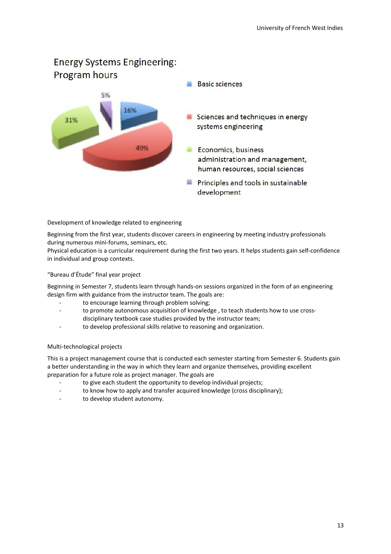# **Energy Systems Engineering: Program hours Basic sciences** 5% 16% Sciences and techniques in energy 31% systems engineering 49% Economics, business administration and management, human resources, social sciences **Principles and tools in sustainable** development

### Development of knowledge related to engineering

Beginning from the first year, students discover careers in engineering by meeting industry professionals during numerous mini-forums, seminars, etc.

Physical education is a curricular requirement during the first two years. It helps students gain self-confidence in individual and group contexts.

### "Bureau d'Étude" final year project

Beginning in Semester 7, students learn through hands-on sessions organized in the form of an engineering design firm with guidance from the instructor team. The goals are:

- to encourage learning through problem solving;
- to promote autonomous acquisition of knowledge , to teach students how to use crossdisciplinary textbook case studies provided by the instructor team;
- to develop professional skills relative to reasoning and organization.

### Multi-technological projects

This is a project management course that is conducted each semester starting from Semester 6. Students gain a better understanding in the way in which they learn and organize themselves, providing excellent preparation for a future role as project manager. The goals are

- to give each student the opportunity to develop individual projects;
- to know how to apply and transfer acquired knowledge (cross disciplinary);
- to develop student autonomy.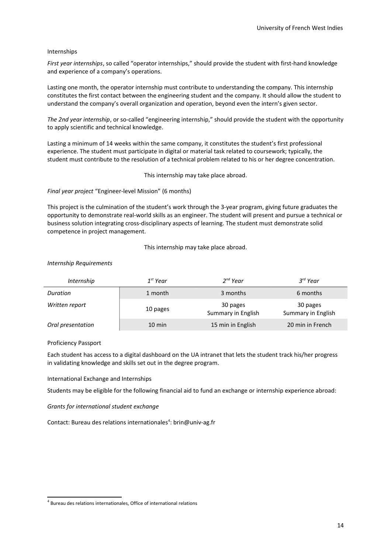### Internships

*First year internships*, so called "operator internships," should provide the student with first-hand knowledge and experience of a company's operations.

Lasting one month, the operator internship must contribute to understanding the company. This internship constitutes the first contact between the engineering student and the company. It should allow the student to understand the company's overall organization and operation, beyond even the intern's given sector.

*The 2nd year internship*, or so-called "engineering internship," should provide the student with the opportunity to apply scientific and technical knowledge.

Lasting a minimum of 14 weeks within the same company, it constitutes the student's first professional experience. The student must participate in digital or material task related to coursework; typically, the student must contribute to the resolution of a technical problem related to his or her degree concentration.

This internship may take place abroad.

*Final year project* "Engineer-level Mission" (6 months)

This project is the culmination of the student's work through the 3-year program, giving future graduates the opportunity to demonstrate real-world skills as an engineer. The student will present and pursue a technical or business solution integrating cross-disciplinary aspects of learning. The student must demonstrate solid competence in project management.

This internship may take place abroad.

#### *Internship Requirements*

| <i>Internship</i> | $1^{st}$ Year    | $2^{nd}$ Year                  | $3^{rd}$ Year                  |
|-------------------|------------------|--------------------------------|--------------------------------|
| Duration          | 1 month          | 3 months                       | 6 months                       |
| Written report    | 10 pages         | 30 pages<br>Summary in English | 30 pages<br>Summary in English |
| Oral presentation | $10 \text{ min}$ | 15 min in English              | 20 min in French               |

Proficiency Passport

Each student has access to a digital dashboard on the UA intranet that lets the student track his/her progress in validating knowledge and skills set out in the degree program.

International Exchange and Internships

Students may be eligible for the following financial aid to fund an exchange or internship experience abroad:

*Grants for international student exchange*

Contact: Bureau des relations internationales<sup>[4](#page-13-0)</sup>: brin@univ-ag.fr

<span id="page-13-0"></span> $<sup>4</sup>$  Bureau des relations internationales, Office of international relations</sup>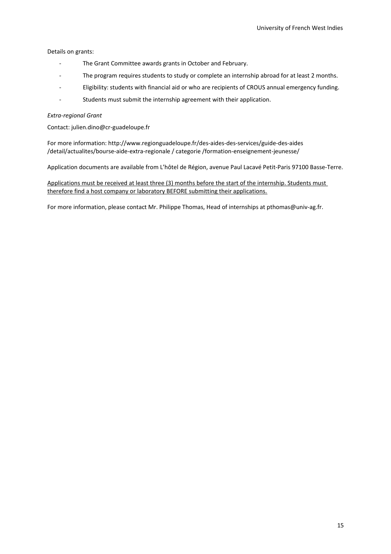Details on grants:

- The Grant Committee awards grants in October and February.
- The program requires students to study or complete an internship abroad for at least 2 months.
- Eligibility: students with financial aid or who are recipients of CROUS annual emergency funding.
- Students must submit the internship agreement with their application.

### *Extra-regional Grant*

Contact: julien.dino@cr-guadeloupe.fr

For more information: http://www.regionguadeloupe.fr/des-aides-des-services/guide-des-aides /detail/actualites/bourse-aide-extra-regionale / categorie /formation-enseignement-jeunesse/

Application documents are available from L'hôtel de Région, avenue Paul Lacavé Petit-Paris 97100 Basse-Terre.

Applications must be received at least three (3) months before the start of the internship. Students must therefore find a host company or laboratory BEFORE submitting their applications.

For more information, please contact Mr. Philippe Thomas, Head of internships at pthomas@univ-ag.fr.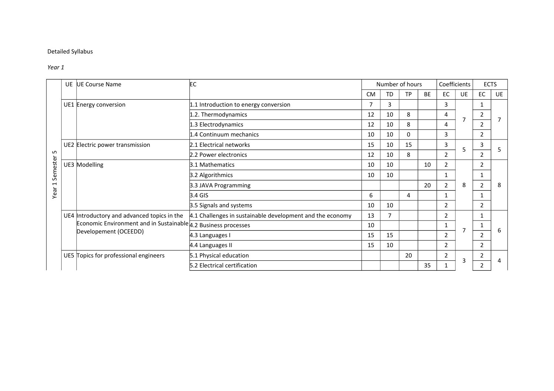## Detailed Syllabus

### *Year 1*

|                          | <b>UE</b> | <b>UE Course Name</b>                                                   | EC                                                        |                |           | Number of hours |           | Coefficients                                             |                | <b>ECTS</b>    |    |
|--------------------------|-----------|-------------------------------------------------------------------------|-----------------------------------------------------------|----------------|-----------|-----------------|-----------|----------------------------------------------------------|----------------|----------------|----|
|                          |           |                                                                         |                                                           | <b>CM</b>      | <b>TD</b> | <b>TP</b>       | <b>BE</b> | <b>EC</b>                                                | <b>UE</b>      | <b>EC</b>      | UE |
|                          |           | UE1 Energy conversion                                                   | 1.1 Introduction to energy conversion                     | $\overline{7}$ | 3         |                 |           | 3                                                        |                | 1              |    |
|                          |           |                                                                         | 1.2. Thermodynamics                                       | 12             | 10        | 8               |           | 4<br>7                                                   | 2              |                |    |
|                          |           |                                                                         | 1.3 Electrodynamics                                       | 12             | 10        | 8               |           | 4                                                        |                | 2              |    |
|                          |           |                                                                         | 1.4 Continuum mechanics                                   | 10             | 10        | 0               |           | 3                                                        |                | 2              |    |
|                          |           | UE2 Electric power transmission                                         | 2.1 Electrical networks                                   | 15             | 10        | 15              |           | $\overline{3}$                                           | 5              | 3              |    |
| LO.                      |           |                                                                         | 2.2 Power electronics                                     | 12             | 10        | 8               |           | $\overline{2}$                                           |                | 2              |    |
| Semester                 |           | UE3 Modelling                                                           | 3.1 Mathematics                                           | 10             | 10        |                 | 10        | 2<br>$\mathbf{1}$<br>8<br>$\overline{2}$<br>$\mathbf{1}$ |                | 2              |    |
|                          |           |                                                                         | 3.2 Algorithmics                                          | 10             | 10        |                 |           |                                                          | 1              | 8              |    |
| $\overline{\phantom{0}}$ |           |                                                                         | 3.3 JAVA Programming                                      |                |           |                 | 20        |                                                          | $\overline{2}$ |                |    |
| Year                     |           |                                                                         | $3.4$ GIS                                                 | 6              |           | 4               |           |                                                          |                |                |    |
|                          |           |                                                                         | 3.5 Signals and systems                                   | 10             | 10        |                 |           | 2                                                        |                | $\overline{2}$ |    |
|                          |           | UE4 Introductory and advanced topics in the                             | 4.1 Challenges in sustainable development and the economy | 13             | 7         |                 |           | $\overline{2}$                                           |                |                |    |
|                          |           | Economic Environment and in Sustainable $\sqrt{4.2}$ Business processes |                                                           | 10             |           |                 |           |                                                          | 7              | 1              |    |
|                          |           | Developement (OCEEDD)                                                   | 4.3 Languages I                                           | 15             | 15        |                 |           | 2                                                        |                | 2              | 6  |
|                          |           |                                                                         | 4.4 Languages II                                          | 15             | 10        |                 |           | $\overline{2}$                                           |                | $\overline{2}$ |    |
|                          |           | UE5 Topics for professional engineers                                   | 5.1 Physical education                                    |                |           | 20              |           | $\overline{2}$                                           | 3              | $\overline{2}$ | 4  |
|                          |           |                                                                         | 5.2 Electrical certification                              |                |           |                 | 35        |                                                          |                | $\overline{2}$ |    |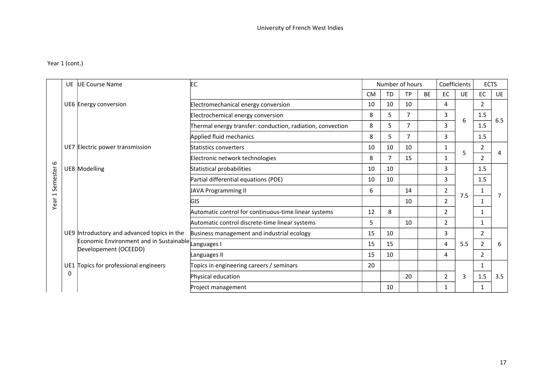## Year 1 (cont.)

|                | UE | UE Course Name                                                   | EC                                                         |           | Number of hours |           |           |                                          | Coefficients | <b>ECTS</b>    |           |
|----------------|----|------------------------------------------------------------------|------------------------------------------------------------|-----------|-----------------|-----------|-----------|------------------------------------------|--------------|----------------|-----------|
|                |    |                                                                  |                                                            | <b>CM</b> | <b>TD</b>       | <b>TP</b> | <b>BE</b> | EC                                       | UE           | EC             | <b>UE</b> |
|                |    | UE6 Energy conversion                                            | Electromechanical energy conversion                        | 10        | 10              | 10        |           | 4                                        |              | $\overline{2}$ |           |
|                |    |                                                                  | Electrochemical energy conversion                          | 8         | 5               | 7         |           | 3                                        | 6            | 1.5            |           |
|                |    |                                                                  | Thermal energy transfer: conduction, radiation, convection | 8         | 5               | 7         |           | 3                                        | 1.5          | 6.5            |           |
|                |    |                                                                  | Applied fluid mechanics                                    | 8         | 5               | 7         |           | 3                                        |              | 1.5            |           |
|                |    | UE7 Electric power transmission                                  | Statistics converters                                      | 10        | 10              | 10        |           |                                          |              | 2              |           |
|                |    |                                                                  | Electronic network technologies                            | 8         | 7               | 15        |           | 1                                        | 5            | $\overline{2}$ |           |
| Semester 6     |    | UE8 Modelling                                                    | Statistical probabilities                                  | 10        | 10              |           |           | 3<br>3<br>2<br>7.5<br>2<br>$\mathcal{P}$ |              | 1.5            |           |
|                |    |                                                                  | Partial differential equations (PDE)                       | 10        | 10              |           |           |                                          |              | 1.5            |           |
| $\overline{ }$ |    |                                                                  | JAVA Programming II                                        | 6         |                 | 14        |           |                                          | 1            |                |           |
| Year           |    |                                                                  | <b>GIS</b>                                                 |           |                 | 10        |           |                                          |              | 1              |           |
|                |    |                                                                  | Automatic control for continuous-time linear systems       | 12        | 8               |           |           |                                          | 1            |                |           |
|                |    |                                                                  | Automatic control discrete-time linear systems             | 5         |                 | 10        |           | $\mathcal{P}$                            |              | 1              |           |
|                |    | UE9 Introductory and advanced topics in the                      | Business management and industrial ecology                 | 15        | 10              |           |           | 3                                        |              | 2              |           |
|                |    | Economic Environment and in Sustainable<br>Developement (OCEEDD) | Languages I                                                | 15        | 15              |           |           | 4                                        | 5.5          | $\overline{2}$ | 6         |
|                |    |                                                                  | Languages II                                               | 15        | 10              |           |           | 4                                        |              | $\overline{2}$ |           |
|                |    | UE1 Topics for professional engineers                            | Topics in engineering careers / seminars                   | 20        |                 |           |           |                                          |              | 1              |           |
|                | 0  |                                                                  | Physical education                                         |           |                 | 20        |           | 2                                        | 3            | 1.5            | 3.5       |
|                |    |                                                                  | Project management                                         |           | 10              |           |           |                                          |              | 1              |           |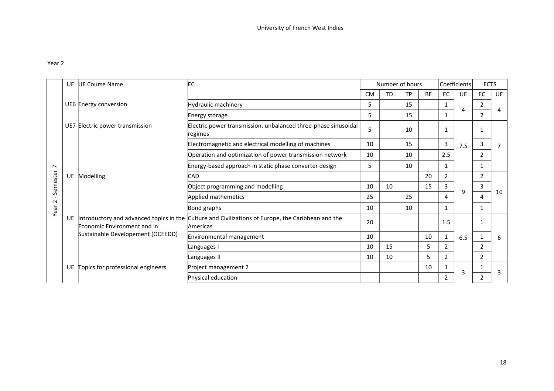## Year 2

|                | <b>UE</b> | UE Course Name                                                         | EC                                                                        |           | Number of hours |           |           |                               | Coefficients | <b>ECTS</b>   |           |
|----------------|-----------|------------------------------------------------------------------------|---------------------------------------------------------------------------|-----------|-----------------|-----------|-----------|-------------------------------|--------------|---------------|-----------|
|                |           |                                                                        |                                                                           | <b>CM</b> | <b>TD</b>       | <b>TP</b> | <b>BE</b> | EC                            | <b>UE</b>    | EC            | <b>UE</b> |
|                |           | UE6 Energy conversion                                                  | Hydraulic machinery                                                       | 5         |                 | 15        |           | $\mathbf{1}$                  | 4            | 2             |           |
|                |           |                                                                        | Energy storage                                                            | 5         |                 | 15        |           | 1                             |              | 2             | 4         |
|                |           | UE7 Electric power transmission                                        | Electric power transmission: unbalanced three-phase sinusoidal<br>regimes | 5         |                 | 10        |           | 1                             |              | 1             |           |
|                |           |                                                                        | Electromagnetic and electrical modelling of machines                      | 10        |                 | 15        |           | 3                             | 7.5          | 3             | 7         |
|                |           | Modelling                                                              | Operation and optimization of power transmission network                  | 10        |                 | 10        |           | 2.5                           |              | 2             |           |
| $\overline{ }$ |           |                                                                        | Energy-based approach in static phase converter design                    | 5         |                 | 10        |           | 1                             |              | 1             |           |
| Semester       | UE        |                                                                        | CAD                                                                       |           |                 |           | 20        | $\overline{2}$<br>3<br>q<br>4 |              | 2             | 10        |
|                |           |                                                                        | Object programming and modelling                                          | 10        | 10              |           | 15        |                               |              | 3             |           |
| $\sim$         |           |                                                                        | Applied mathemetics                                                       | 25        |                 | 25        |           |                               |              | 4             |           |
| Year           |           |                                                                        | Bond graphs                                                               | 10        |                 | 10        |           | 1                             |              | 1             |           |
|                | UE        | Introductory and advanced topics in the<br>Economic Environment and in | Culture and Civilizations of Europe, the Caribbean and the<br>Americas    | 20        |                 |           |           | 1.5                           |              | 1             |           |
|                |           | Sustainable Developement (OCEEDD)                                      | Environmental management                                                  | 10        |                 |           | 10        | 1                             | 6.5          |               | 6         |
|                |           |                                                                        | Languages I                                                               | 10        | 15              |           | 5.        | $\overline{2}$                |              | $\mathcal{P}$ |           |
|                |           |                                                                        | Languages II                                                              | 10        | 10              |           | 5         | $\overline{2}$                |              | $\mathcal{P}$ |           |
|                | <b>UE</b> | Topics for professional engineers                                      | Project management 2                                                      |           |                 |           | 10        | 1                             | 3            |               | 3         |
|                |           |                                                                        | Physical education                                                        |           |                 |           |           | 2                             |              | 2             |           |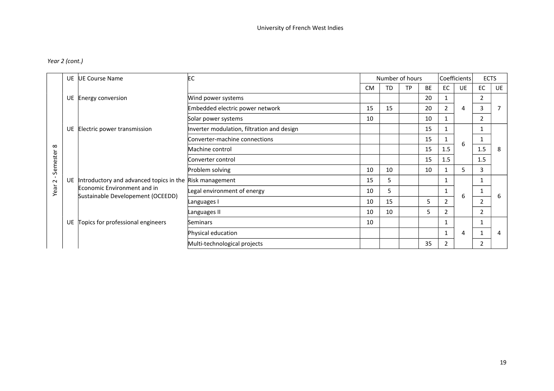## *Year 2 (cont.)*

|                        | <b>UE</b> | <b>UE Course Name</b>                                                                  | EC                                         |           | Number of hours |           |           |                | Coefficients | <b>ECTS</b>    |                |
|------------------------|-----------|----------------------------------------------------------------------------------------|--------------------------------------------|-----------|-----------------|-----------|-----------|----------------|--------------|----------------|----------------|
|                        |           |                                                                                        |                                            | <b>CM</b> | <b>TD</b>       | <b>TP</b> | <b>BE</b> | <b>EC</b>      | <b>UE</b>    | <b>EC</b>      | UE             |
|                        | UE        | Energy conversion                                                                      | Wind power systems                         |           |                 |           | 20        |                |              | 2              |                |
|                        |           |                                                                                        | Embedded electric power network            | 15        | 15              |           | 20        | $\overline{2}$ | 4            | 3              | 7              |
|                        |           |                                                                                        | Solar power systems                        | 10        |                 |           | 10        |                |              | 2              |                |
|                        | <b>UE</b> | Electric power transmission                                                            | Inverter modulation, filtration and design |           |                 |           | 15        | 6<br>1.5       | $\mathbf{1}$ |                |                |
|                        |           | Introductory and advanced topics in the Risk management<br>Economic Environment and in | Converter-machine connections              |           |                 |           | 15        |                |              | 1              |                |
| $\infty$               |           |                                                                                        | Machine control                            |           |                 |           | 15        |                |              | 1.5            | -8             |
|                        |           |                                                                                        | Converter control                          |           |                 |           | 15        | 1.5            |              | 1.5            |                |
| Semester               |           |                                                                                        | Problem solving                            | 10        | 10              |           | 10        |                | 5            | 3              |                |
| $\mathbf{I}$<br>$\sim$ | <b>UE</b> |                                                                                        |                                            | 15        | 5               |           |           |                |              |                |                |
| Year                   |           |                                                                                        | Legal environment of energy                | 10        | 5               |           |           |                |              | $\mathbf{1}$   | -6             |
|                        |           | Sustainable Developement (OCEEDD)                                                      | Languages I                                | 10        | 15              |           | 5         | $\mathbf{2}$   | 6            | 2              |                |
|                        |           |                                                                                        | Languages II                               | 10        | 10              |           | 5         | $\mathbf{2}$   |              | $\overline{2}$ |                |
|                        | UE.       | Topics for professional engineers                                                      | Seminars                                   | 10        |                 |           |           |                |              |                |                |
|                        |           |                                                                                        | Physical education                         |           |                 |           |           |                | 4            |                | $\overline{4}$ |
|                        |           |                                                                                        | Multi-technological projects               |           |                 |           | 35        | 2              |              | $\overline{2}$ |                |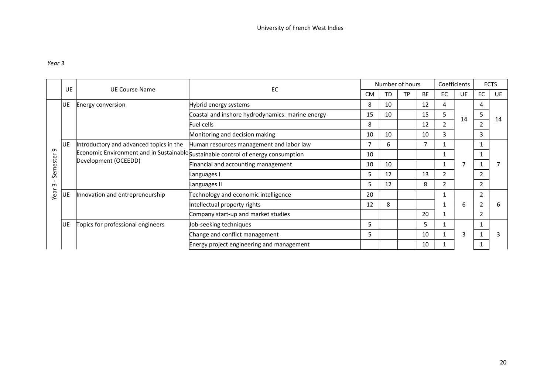## *Year 3*

|          |           |                                         | EC                                                                                |           |           | Number of hours |           | Coefficients   |           |    | <b>ECTS</b> |
|----------|-----------|-----------------------------------------|-----------------------------------------------------------------------------------|-----------|-----------|-----------------|-----------|----------------|-----------|----|-------------|
|          | UE        | <b>UE Course Name</b>                   |                                                                                   | <b>CM</b> | <b>TD</b> | <b>TP</b>       | <b>BE</b> | EC             | <b>UE</b> | EC | <b>UE</b>   |
|          | lue.      | Energy conversion                       | Hybrid energy systems                                                             | 8         | 10        |                 | 12        | 4              |           | 4  |             |
|          |           |                                         | Coastal and inshore hydrodynamics: marine energy                                  | 15        | 10        |                 | 15        | 5              |           | 5  |             |
|          |           |                                         | Fuel cells                                                                        | 8         |           |                 | 12        | 2              | 14        | 2  | 14          |
|          |           |                                         | Monitoring and decision making                                                    | 10        | 10        |                 | 10        | 3              |           | 3  |             |
|          | lue.      | Introductory and advanced topics in the | Human resources management and labor law                                          | 7         | 6         |                 |           |                |           |    |             |
| თ        |           | Development (OCEEDD)                    | Economic Environment and in Sustainable Sustainable control of energy consumption | 10        |           |                 |           |                |           |    |             |
| Semester |           |                                         | Financial and accounting management                                               | 10        | 10        |                 |           |                |           |    |             |
|          |           |                                         | Languages I                                                                       | 5.        | 12        |                 | 13        | 2              |           | 2  |             |
| $\omega$ |           |                                         | Languages II                                                                      | 5         | 12        |                 | 8         | $\overline{2}$ |           | 2  |             |
| Year     | UE        | Innovation and entrepreneurship         | Technology and economic intelligence                                              | 20        |           |                 |           |                |           | 2  |             |
|          |           |                                         | Intellectual property rights                                                      | 12        | 8         |                 |           |                | 6         | 2  | h           |
|          |           |                                         | Company start-up and market studies                                               |           |           |                 | 20        |                |           | 2  |             |
|          | <b>UE</b> | Topics for professional engineers       | Job-seeking techniques                                                            | 5         |           |                 | 5         |                |           |    |             |
|          |           |                                         | Change and conflict management                                                    | 5         |           |                 | 10        |                | 3         |    |             |
|          |           |                                         | Energy project engineering and management                                         |           |           |                 | 10        |                |           |    |             |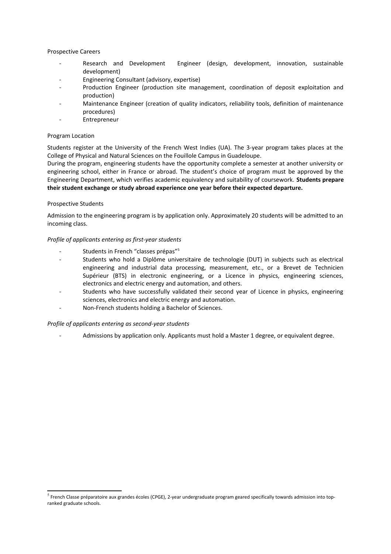### Prospective Careers

- Research and Development Engineer (design, development, innovation, sustainable development)
- Engineering Consultant (advisory, expertise)
- Production Engineer (production site management, coordination of deposit exploitation and production)
- Maintenance Engineer (creation of quality indicators, reliability tools, definition of maintenance procedures)
- **Entrepreneur**

### Program Location

Students register at the University of the French West Indies (UA). The 3-year program takes places at the College of Physical and Natural Sciences on the Fouillole Campus in Guadeloupe.

During the program, engineering students have the opportunity complete a semester at another university or engineering school, either in France or abroad. The student's choice of program must be approved by the Engineering Department, which verifies academic equivalency and suitability of coursework. **Students prepare their student exchange or study abroad experience one year before their expected departure.**

### Prospective Students

Admission to the engineering program is by application only. Approximately 20 students will be admitted to an incoming class.

### *Profile of applicants entering as first-year students*

- Students in French "classes prépas"<sup>[5](#page-20-0)</sup>
- Students who hold a Diplôme universitaire de technologie (DUT) in subjects such as electrical engineering and industrial data processing, measurement, etc., or a Brevet de Technicien Supérieur (BTS) in electronic engineering, or a Licence in physics, engineering sciences, electronics and electric energy and automation, and others.
- Students who have successfully validated their second year of Licence in physics, engineering sciences, electronics and electric energy and automation.
- Non-French students holding a Bachelor of Sciences.

#### *Profile of applicants entering as second-year students*

- Admissions by application only. Applicants must hold a Master 1 degree, or equivalent degree.

<span id="page-20-0"></span><sup>&</sup>lt;sup>5</sup> French Classe préparatoire aux grandes écoles (CPGE), 2-year undergraduate program geared specifically towards admission into topranked graduate schools.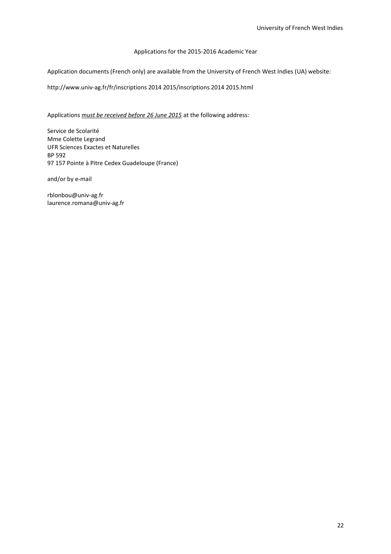## Applications for the 2015-2016 Academic Year

Application documents (French only) are available from the University of French West Indies (UA) website:

http://www.univ-ag.fr/fr/inscriptions 2014 2015/inscriptions 2014 2015.html

Applications *must be received before 26 June 2015* at the following address:

Service de Scolarité Mme Colette Legrand UFR Sciences Exactes et Naturelles BP 592 97 157 Pointe à Pitre Cedex Guadeloupe (France)

and/or by e-mail

rblonbou@univ-ag.fr laurence.romana@univ-ag.fr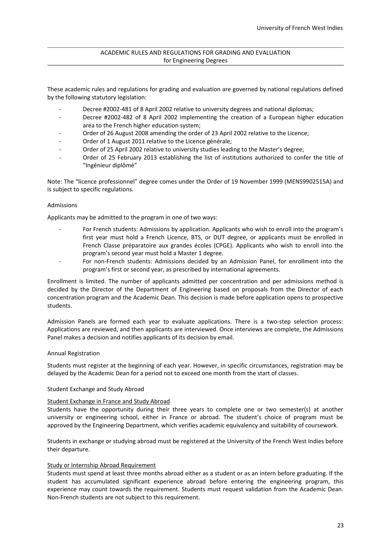### ACADEMIC RULES AND REGULATIONS FOR GRADING AND EVALUATION for Engineering Degrees

These academic rules and regulations for grading and evaluation are governed by national regulations defined by the following statutory legislation:

- Decree #2002-481 of 8 April 2002 relative to university degrees and national diplomas;
- Decree #2002-482 of 8 April 2002 implementing the creation of a European higher education area to the French higher education system;
- Order of 26 August 2008 amending the order of 23 April 2002 relative to the Licence;
- Order of 1 August 2011 relative to the Licence générale;
- Order of 25 April 2002 relative to university studies leading to the Master's degree;
- Order of 25 February 2013 establishing the list of institutions authorized to confer the title of "Ingénieur diplômé"

Note: The "licence professionnel" degree comes under the Order of 19 November 1999 (MENS9902515A) and is subject to specific regulations.

### Admissions

Applicants may be admitted to the program in one of two ways:

- For French students: Admissions by application. Applicants who wish to enroll into the program's first year must hold a French Licence, BTS, or DUT degree, or applicants must be enrolled in French Classe préparatoire aux grandes écoles (CPGE). Applicants who wish to enroll into the program's second year must hold a Master 1 degree.
- For non-French students: Admissions decided by an Admission Panel, for enrollment into the program's first or second year, as prescribed by international agreements.

Enrollment is limited. The number of applicants admitted per concentration and per admissions method is decided by the Director of the Department of Engineering based on proposals from the Director of each concentration program and the Academic Dean. This decision is made before application opens to prospective students.

Admission Panels are formed each year to evaluate applications. There is a two-step selection process: Applications are reviewed, and then applicants are interviewed. Once interviews are complete, the Admissions Panel makes a decision and notifies applicants of its decision by email.

#### Annual Registration

Students must register at the beginning of each year. However, in specific circumstances, registration may be delayed by the Academic Dean for a period not to exceed one month from the start of classes.

### Student Exchange and Study Abroad

### Student Exchange in France and Study Abroad

Students have the opportunity during their three years to complete one or two semester(s) at another university or engineering school, either in France or abroad. The student's choice of program must be approved by the Engineering Department, which verifies academic equivalency and suitability of coursework.

Students in exchange or studying abroad must be registered at the University of the French West Indies before their departure.

#### Study or Internship Abroad Requirement

Students must spend at least three months abroad either as a student or as an intern before graduating. If the student has accumulated significant experience abroad before entering the engineering program, this experience may count towards the requirement. Students must request validation from the Academic Dean. Non-French students are not subject to this requirement.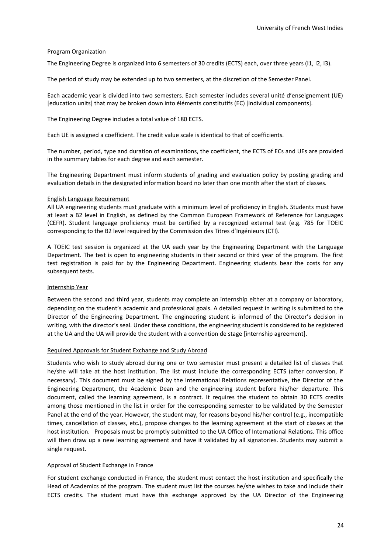### Program Organization

The Engineering Degree is organized into 6 semesters of 30 credits (ECTS) each, over three years (I1, I2, I3).

The period of study may be extended up to two semesters, at the discretion of the Semester Panel.

Each academic year is divided into two semesters. Each semester includes several unité d'enseignement (UE) [education units] that may be broken down into éléments constitutifs (EC) [individual components].

The Engineering Degree includes a total value of 180 ECTS.

Each UE is assigned a coefficient. The credit value scale is identical to that of coefficients.

The number, period, type and duration of examinations, the coefficient, the ECTS of ECs and UEs are provided in the summary tables for each degree and each semester.

The Engineering Department must inform students of grading and evaluation policy by posting grading and evaluation details in the designated information board no later than one month after the start of classes.

#### English Language Requirement

All UA engineering students must graduate with a minimum level of proficiency in English. Students must have at least a B2 level in English, as defined by the Common European Framework of Reference for Languages (CEFR). Student language proficiency must be certified by a recognized external test (e.g. 785 for TOEIC corresponding to the B2 level required by the Commission des Titres d'Ingénieurs (CTI).

A TOEIC test session is organized at the UA each year by the Engineering Department with the Language Department. The test is open to engineering students in their second or third year of the program. The first test registration is paid for by the Engineering Department. Engineering students bear the costs for any subsequent tests.

### Internship Year

Between the second and third year, students may complete an internship either at a company or laboratory, depending on the student's academic and professional goals. A detailed request in writing is submitted to the Director of the Engineering Department. The engineering student is informed of the Director's decision in writing, with the director's seal. Under these conditions, the engineering student is considered to be registered at the UA and the UA will provide the student with a convention de stage [internship agreement].

#### Required Approvals for Student Exchange and Study Abroad

Students who wish to study abroad during one or two semester must present a detailed list of classes that he/she will take at the host institution. The list must include the corresponding ECTS (after conversion, if necessary). This document must be signed by the International Relations representative, the Director of the Engineering Department, the Academic Dean and the engineering student before his/her departure. This document, called the learning agreement, is a contract. It requires the student to obtain 30 ECTS credits among those mentioned in the list in order for the corresponding semester to be validated by the Semester Panel at the end of the year. However, the student may, for reasons beyond his/her control (e.g., incompatible times, cancellation of classes, etc.), propose changes to the learning agreement at the start of classes at the host institution. Proposals must be promptly submitted to the UA Office of International Relations. This office will then draw up a new learning agreement and have it validated by all signatories. Students may submit a single request.

### Approval of Student Exchange in France

For student exchange conducted in France, the student must contact the host institution and specifically the Head of Academics of the program. The student must list the courses he/she wishes to take and include their ECTS credits. The student must have this exchange approved by the UA Director of the Engineering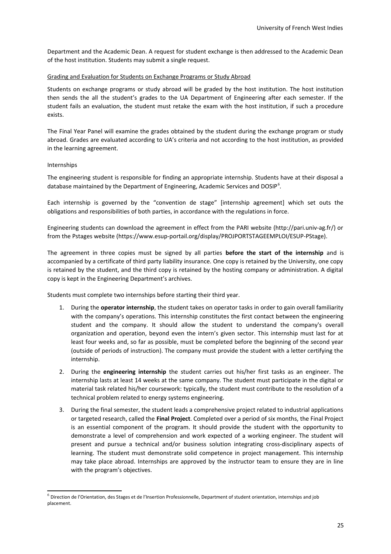Department and the Academic Dean. A request for student exchange is then addressed to the Academic Dean of the host institution. Students may submit a single request.

### Grading and Evaluation for Students on Exchange Programs or Study Abroad

Students on exchange programs or study abroad will be graded by the host institution. The host institution then sends the all the student's grades to the UA Department of Engineering after each semester. If the student fails an evaluation, the student must retake the exam with the host institution, if such a procedure exists.

The Final Year Panel will examine the grades obtained by the student during the exchange program or study abroad. Grades are evaluated according to UA's criteria and not according to the host institution, as provided in the learning agreement.

### Internships

The engineering student is responsible for finding an appropriate internship. Students have at their disposal a database maintained by the Department of Engineering, Academic Services and DOSIP<sup>[6](#page-24-0)</sup>.

Each internship is governed by the "convention de stage" [internship agreement] which set outs the obligations and responsibilities of both parties, in accordance with the regulations in force.

Engineering students can download the agreement in effect from the PARI website (http://pari.univ-ag.fr/) or from the Pstages website (https://www.esup-portail.org/display/PROJPORTSTAGEEMPLOI/ESUP-PStage).

The agreement in three copies must be signed by all parties **before the start of the internship** and is accompanied by a certificate of third party liability insurance. One copy is retained by the University, one copy is retained by the student, and the third copy is retained by the hosting company or administration. A digital copy is kept in the Engineering Department's archives.

Students must complete two internships before starting their third year.

- 1. During the **operator internship**, the student takes on operator tasks in order to gain overall familiarity with the company's operations. This internship constitutes the first contact between the engineering student and the company. It should allow the student to understand the company's overall organization and operation, beyond even the intern's given sector. This internship must last for at least four weeks and, so far as possible, must be completed before the beginning of the second year (outside of periods of instruction). The company must provide the student with a letter certifying the internship.
- 2. During the **engineering internship** the student carries out his/her first tasks as an engineer. The internship lasts at least 14 weeks at the same company. The student must participate in the digital or material task related his/her coursework: typically, the student must contribute to the resolution of a technical problem related to energy systems engineering.
- 3. During the final semester, the student leads a comprehensive project related to industrial applications or targeted research, called the **Final Project**. Completed over a period of six months, the Final Project is an essential component of the program. It should provide the student with the opportunity to demonstrate a level of comprehension and work expected of a working engineer. The student will present and pursue a technical and/or business solution integrating cross-disciplinary aspects of learning. The student must demonstrate solid competence in project management. This internship may take place abroad. Internships are approved by the instructor team to ensure they are in line with the program's objectives.

<span id="page-24-0"></span><sup>&</sup>lt;sup>6</sup> Direction de l'Orientation, des Stages et de l'Insertion Professionnelle, Department of student orientation, internships and job placement.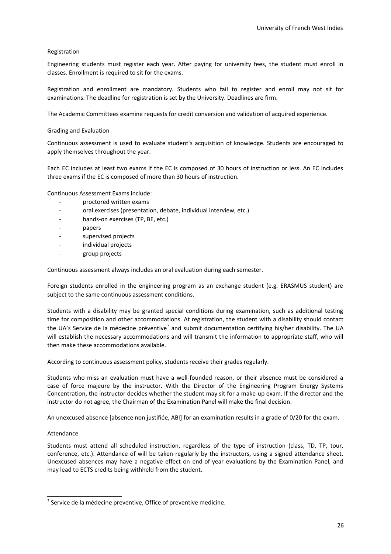### Registration

Engineering students must register each year. After paying for university fees, the student must enroll in classes. Enrollment is required to sit for the exams.

Registration and enrollment are mandatory. Students who fail to register and enroll may not sit for examinations. The deadline for registration is set by the University. Deadlines are firm.

The Academic Committees examine requests for credit conversion and validation of acquired experience.

### Grading and Evaluation

Continuous assessment is used to evaluate student's acquisition of knowledge. Students are encouraged to apply themselves throughout the year.

Each EC includes at least two exams if the EC is composed of 30 hours of instruction or less. An EC includes three exams if the EC is composed of more than 30 hours of instruction.

Continuous Assessment Exams include:

- proctored written exams
- oral exercises (presentation, debate, individual interview, etc.)
- hands-on exercises (TP, BE, etc.)
- papers
- supervised projects
- individual projects
- group projects

Continuous assessment always includes an oral evaluation during each semester.

Foreign students enrolled in the engineering program as an exchange student (e.g. ERASMUS student) are subject to the same continuous assessment conditions.

Students with a disability may be granted special conditions during examination, such as additional testing time for composition and other accommodations. At registration, the student with a disability should contact the UA's Service de la médecine préventive<sup>[7](#page-25-0)</sup> and submit documentation certifying his/her disability. The UA will establish the necessary accommodations and will transmit the information to appropriate staff, who will then make these accommodations available.

According to continuous assessment policy, students receive their grades regularly.

Students who miss an evaluation must have a well-founded reason, or their absence must be considered a case of force majeure by the instructor. With the Director of the Engineering Program Energy Systems Concentration, the instructor decides whether the student may sit for a make-up exam. If the director and the instructor do not agree, the Chairman of the Examination Panel will make the final decision.

An unexcused absence [absence non justifiée, ABI] for an examination results in a grade of 0/20 for the exam.

#### Attendance

Students must attend all scheduled instruction, regardless of the type of instruction (class, TD, TP, tour, conference, etc.). Attendance of will be taken regularly by the instructors, using a signed attendance sheet. Unexcused absences may have a negative effect on end-of-year evaluations by the Examination Panel, and may lead to ECTS credits being withheld from the student.

<span id="page-25-0"></span> $^7$  Service de la médecine preventive, Office of preventive medicine.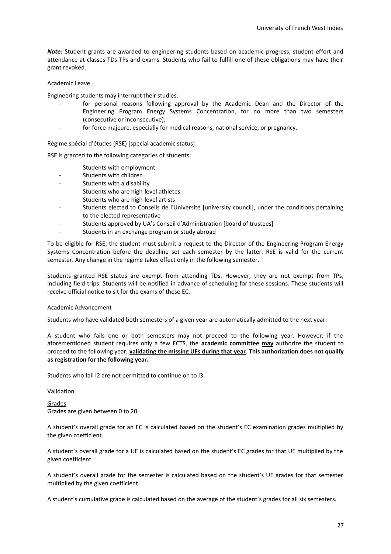*Note:* Student grants are awarded to engineering students based on academic progress, student effort and attendance at classes-TDs-TPs and exams. Students who fail to fulfill one of these obligations may have their grant revoked.

### Academic Leave

Engineering students may interrupt their studies:

- for personal reasons following approval by the Academic Dean and the Director of the Engineering Program Energy Systems Concentration, for no more than two semesters (consecutive or inconsecutive);
- for force majeure, especially for medical reasons, national service, or pregnancy.

Régime spécial d'études (RSE) [special academic status]

RSE is granted to the following categories of students:

- Students with employment
- Students with children
- Students with a disability
- Students who are high-level athletes
- Students who are high-level artists
- Students elected to Conseils de l'Université [university council], under the conditions pertaining to the elected representative
- Students approved by UA's Conseil d'Administration [board of trustees]
- Students in an exchange program or study abroad

To be eligible for RSE, the student must submit a request to the Director of the Engineering Program Energy Systems Concentration before the deadline set each semester by the latter. RSE is valid for the current semester. Any change in the regime takes effect only in the following semester.

Students granted RSE status are exempt from attending TDs. However, they are not exempt from TPs, including field trips. Students will be notified in advance of scheduling for these sessions. These students will receive official notice to sit for the exams of these EC.

#### Academic Advancement

Students who have validated both semesters of a given year are automatically admitted to the next year.

A student who fails one or both semesters may not proceed to the following year. However, if the aforementioned student requires only a few ECTS, the **academic committee may** authorize the student to proceed to the following year, **validating the missing UEs during that year**. **This authorization does not qualify as registration for the following year.**

Students who fail I2 are not permitted to continue on to I3.

Validation

Grades Grades are given between 0 to 20.

A student's overall grade for an EC is calculated based on the student's EC examination grades multiplied by the given coefficient.

A student's overall grade for a UE is calculated based on the student's EC grades for that UE multiplied by the given coefficient.

A student's overall grade for the semester is calculated based on the student's UE grades for that semester multiplied by the given coefficient.

A student's cumulative grade is calculated based on the average of the student's grades for all six semesters.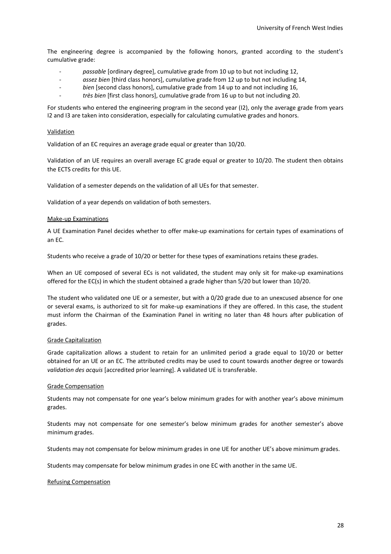The engineering degree is accompanied by the following honors, granted according to the student's cumulative grade:

- *passable* [ordinary degree], cumulative grade from 10 up to but not including 12,
- *assez bien* [third class honors], cumulative grade from 12 up to but not including 14,
- *bien* [second class honors], cumulative grade from 14 up to and not including 16,
- *très bien* [first class honors], cumulative grade from 16 up to but not including 20.

For students who entered the engineering program in the second year (I2), only the average grade from years I2 and I3 are taken into consideration, especially for calculating cumulative grades and honors.

### Validation

Validation of an EC requires an average grade equal or greater than 10/20.

Validation of an UE requires an overall average EC grade equal or greater to 10/20. The student then obtains the ECTS credits for this UE.

Validation of a semester depends on the validation of all UEs for that semester.

Validation of a year depends on validation of both semesters.

### Make-up Examinations

A UE Examination Panel decides whether to offer make-up examinations for certain types of examinations of an EC.

Students who receive a grade of 10/20 or better for these types of examinations retains these grades.

When an UE composed of several ECs is not validated, the student may only sit for make-up examinations offered for the EC(s) in which the student obtained a grade higher than 5/20 but lower than 10/20.

The student who validated one UE or a semester, but with a 0/20 grade due to an unexcused absence for one or several exams, is authorized to sit for make-up examinations if they are offered. In this case, the student must inform the Chairman of the Examination Panel in writing no later than 48 hours after publication of grades.

### Grade Capitalization

Grade capitalization allows a student to retain for an unlimited period a grade equal to 10/20 or better obtained for an UE or an EC. The attributed credits may be used to count towards another degree or towards *validation des acquis* [accredited prior learning]. A validated UE is transferable.

#### Grade Compensation

Students may not compensate for one year's below minimum grades for with another year's above minimum grades.

Students may not compensate for one semester's below minimum grades for another semester's above minimum grades.

Students may not compensate for below minimum grades in one UE for another UE's above minimum grades.

Students may compensate for below minimum grades in one EC with another in the same UE.

#### Refusing Compensation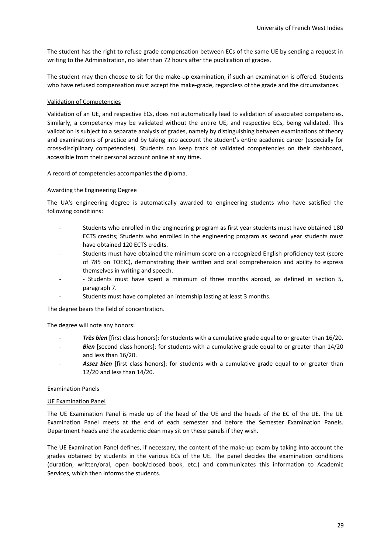The student has the right to refuse grade compensation between ECs of the same UE by sending a request in writing to the Administration, no later than 72 hours after the publication of grades.

The student may then choose to sit for the make-up examination, if such an examination is offered. Students who have refused compensation must accept the make-grade, regardless of the grade and the circumstances.

### Validation of Competencies

Validation of an UE, and respective ECs, does not automatically lead to validation of associated competencies. Similarly, a competency may be validated without the entire UE, and respective ECs, being validated. This validation is subject to a separate analysis of grades, namely by distinguishing between examinations of theory and examinations of practice and by taking into account the student's entire academic career (especially for cross-disciplinary competencies). Students can keep track of validated competencies on their dashboard, accessible from their personal account online at any time.

A record of competencies accompanies the diploma.

### Awarding the Engineering Degree

The UA's engineering degree is automatically awarded to engineering students who have satisfied the following conditions:

- Students who enrolled in the engineering program as first year students must have obtained 180 ECTS credits; Students who enrolled in the engineering program as second year students must have obtained 120 ECTS credits.
- Students must have obtained the minimum score on a recognized English proficiency test (score of 785 on TOEIC), demonstrating their written and oral comprehension and ability to express themselves in writing and speech.
- - Students must have spent a minimum of three months abroad, as defined in section 5, paragraph 7.
- Students must have completed an internship lasting at least 3 months.

The degree bears the field of concentration.

The degree will note any honors:

- *Très bien* [first class honors]: for students with a cumulative grade equal to or greater than 16/20.
- Bien [second class honors]: for students with a cumulative grade equal to or greater than 14/20 and less than 16/20.
- Assez bien [first class honors]: for students with a cumulative grade equal to or greater than 12/20 and less than 14/20.

### Examination Panels

#### UE Examination Panel

The UE Examination Panel is made up of the head of the UE and the heads of the EC of the UE. The UE Examination Panel meets at the end of each semester and before the Semester Examination Panels. Department heads and the academic dean may sit on these panels if they wish.

The UE Examination Panel defines, if necessary, the content of the make-up exam by taking into account the grades obtained by students in the various ECs of the UE. The panel decides the examination conditions (duration, written/oral, open book/closed book, etc.) and communicates this information to Academic Services, which then informs the students.